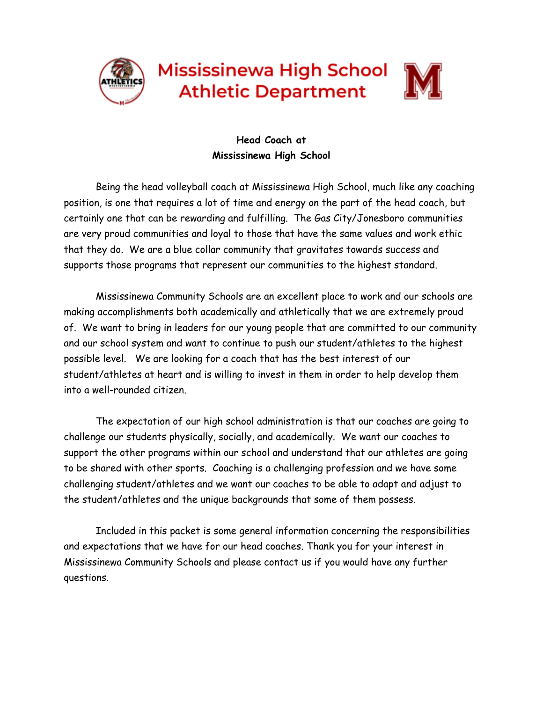

**Mississinewa High School Athletic Department** 



# **Head Coach at Mississinewa High School**

Being the head volleyball coach at Mississinewa High School, much like any coaching position, is one that requires a lot of time and energy on the part of the head coach, but certainly one that can be rewarding and fulfilling. The Gas City/Jonesboro communities are very proud communities and loyal to those that have the same values and work ethic that they do. We are a blue collar community that gravitates towards success and supports those programs that represent our communities to the highest standard.

Mississinewa Community Schools are an excellent place to work and our schools are making accomplishments both academically and athletically that we are extremely proud of. We want to bring in leaders for our young people that are committed to our community and our school system and want to continue to push our student/athletes to the highest possible level. We are looking for a coach that has the best interest of our student/athletes at heart and is willing to invest in them in order to help develop them into a well-rounded citizen.

The expectation of our high school administration is that our coaches are going to challenge our students physically, socially, and academically. We want our coaches to support the other programs within our school and understand that our athletes are going to be shared with other sports. Coaching is a challenging profession and we have some challenging student/athletes and we want our coaches to be able to adapt and adjust to the student/athletes and the unique backgrounds that some of them possess.

Included in this packet is some general information concerning the responsibilities and expectations that we have for our head coaches. Thank you for your interest in Mississinewa Community Schools and please contact us if you would have any further questions.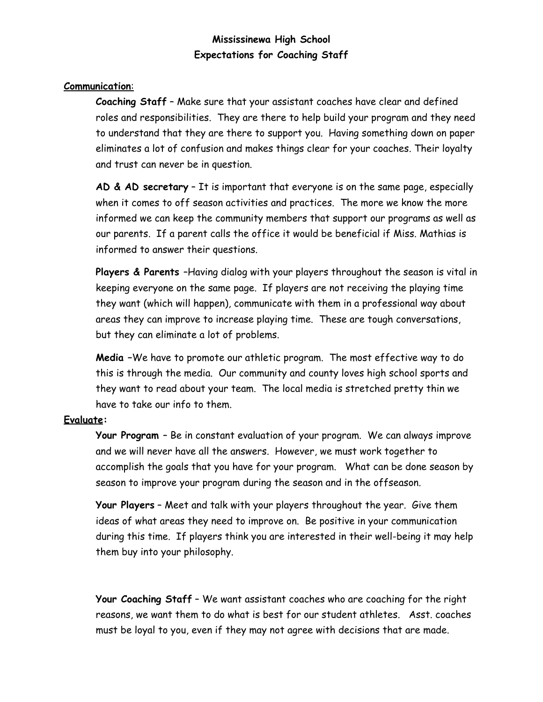## **Mississinewa High School Expectations for Coaching Staff**

#### **Communication**:

**Coaching Staff** – Make sure that your assistant coaches have clear and defined roles and responsibilities. They are there to help build your program and they need to understand that they are there to support you. Having something down on paper eliminates a lot of confusion and makes things clear for your coaches. Their loyalty and trust can never be in question.

**AD & AD secretary** – It is important that everyone is on the same page, especially when it comes to off season activities and practices. The more we know the more informed we can keep the community members that support our programs as well as our parents. If a parent calls the office it would be beneficial if Miss. Mathias is informed to answer their questions.

**Players & Parents** –Having dialog with your players throughout the season is vital in keeping everyone on the same page. If players are not receiving the playing time they want (which will happen), communicate with them in a professional way about areas they can improve to increase playing time. These are tough conversations, but they can eliminate a lot of problems.

**Media –**We have to promote our athletic program. The most effective way to do this is through the media. Our community and county loves high school sports and they want to read about your team. The local media is stretched pretty thin we have to take our info to them.

### **Evaluate:**

**Your Program** – Be in constant evaluation of your program. We can always improve and we will never have all the answers. However, we must work together to accomplish the goals that you have for your program. What can be done season by season to improve your program during the season and in the offseason.

**Your Players** – Meet and talk with your players throughout the year. Give them ideas of what areas they need to improve on. Be positive in your communication during this time. If players think you are interested in their well-being it may help them buy into your philosophy.

**Your Coaching Staff** – We want assistant coaches who are coaching for the right reasons, we want them to do what is best for our student athletes. Asst. coaches must be loyal to you, even if they may not agree with decisions that are made.